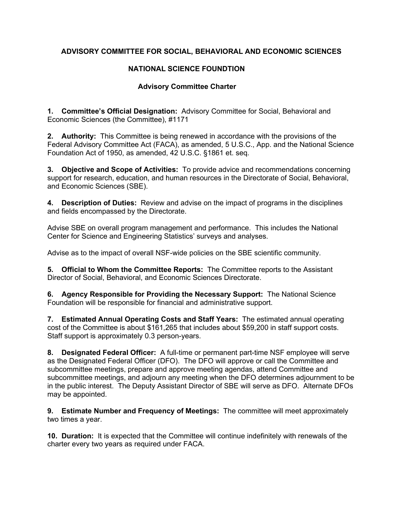## **ADVISORY COMMITTEE FOR SOCIAL, BEHAVIORAL AND ECONOMIC SCIENCES**

## **NATIONAL SCIENCE FOUNDTION**

## **Advisory Committee Charter**

**1. Committee's Official Designation:** Advisory Committee for Social, Behavioral and Economic Sciences (the Committee), #1171

**2. Authority:** This Committee is being renewed in accordance with the provisions of the Federal Advisory Committee Act (FACA), as amended, 5 U.S.C., App. and the National Science Foundation Act of 1950, as amended, 42 U.S.C. §1861 et. seq.

**3. Objective and Scope of Activities:** To provide advice and recommendations concerning support for research, education, and human resources in the Directorate of Social, Behavioral, and Economic Sciences (SBE).

**4. Description of Duties:** Review and advise on the impact of programs in the disciplines and fields encompassed by the Directorate.

Advise SBE on overall program management and performance. This includes the National Center for Science and Engineering Statistics' surveys and analyses.

Advise as to the impact of overall NSF-wide policies on the SBE scientific community.

**5. Official to Whom the Committee Reports:** The Committee reports to the Assistant Director of Social, Behavioral, and Economic Sciences Directorate.

**6. Agency Responsible for Providing the Necessary Support:** The National Science Foundation will be responsible for financial and administrative support.

**7. Estimated Annual Operating Costs and Staff Years:** The estimated annual operating cost of the Committee is about \$161,265 that includes about \$59,200 in staff support costs. Staff support is approximately 0.3 person-years.

**8. Designated Federal Officer:** A full-time or permanent part-time NSF employee will serve as the Designated Federal Officer (DFO). The DFO will approve or call the Committee and subcommittee meetings, prepare and approve meeting agendas, attend Committee and subcommittee meetings, and adjourn any meeting when the DFO determines adjournment to be in the public interest. The Deputy Assistant Director of SBE will serve as DFO. Alternate DFOs may be appointed.

**9. Estimate Number and Frequency of Meetings:** The committee will meet approximately two times a year.

**10. Duration:** It is expected that the Committee will continue indefinitely with renewals of the charter every two years as required under FACA.